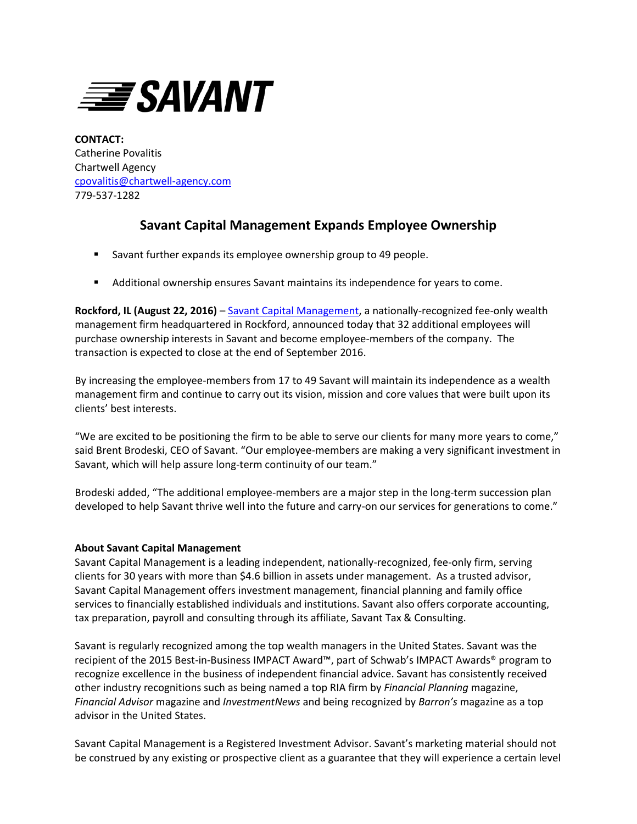

**CONTACT:** Catherine Povalitis Chartwell Agency [cpovalitis@chartwell-agency.com](mailto:cpovalitis@chartwell-agency.com) 779-537-1282

## **Savant Capital Management Expands Employee Ownership**

- Savant further expands its employee ownership group to 49 people.
- Additional ownership ensures Savant maintains its independence for years to come.

**Rockford, IL (August 22, 2016)** – [Savant Capital Management,](http://www.savantcapital.com/) a nationally-recognized fee-only wealth management firm headquartered in Rockford, announced today that 32 additional employees will purchase ownership interests in Savant and become employee-members of the company. The transaction is expected to close at the end of September 2016.

By increasing the employee-members from 17 to 49 Savant will maintain its independence as a wealth management firm and continue to carry out its vision, mission and core values that were built upon its clients' best interests.

"We are excited to be positioning the firm to be able to serve our clients for many more years to come," said Brent Brodeski, CEO of Savant. "Our employee-members are making a very significant investment in Savant, which will help assure long-term continuity of our team."

Brodeski added, "The additional employee-members are a major step in the long-term succession plan developed to help Savant thrive well into the future and carry-on our services for generations to come."

## **About Savant Capital Management**

Savant Capital Management is a leading independent, nationally-recognized, fee-only firm, serving clients for 30 years with more than \$4.6 billion in assets under management. As a trusted advisor, Savant Capital Management offers investment management, financial planning and family office services to financially established individuals and institutions. Savant also offers corporate accounting, tax preparation, payroll and consulting through its affiliate, Savant Tax & Consulting.

Savant is regularly recognized among the top wealth managers in the United States. Savant was the recipient of the 2015 Best-in-Business IMPACT Award™, part of Schwab's IMPACT Awards® program to recognize excellence in the business of independent financial advice. Savant has consistently received other industry recognitions such as being named a top RIA firm by *Financial Planning* magazine, *Financial Advisor* magazine and *InvestmentNews* and being recognized by *Barron's* magazine as a top advisor in the United States.

Savant Capital Management is a Registered Investment Advisor. Savant's marketing material should not be construed by any existing or prospective client as a guarantee that they will experience a certain level